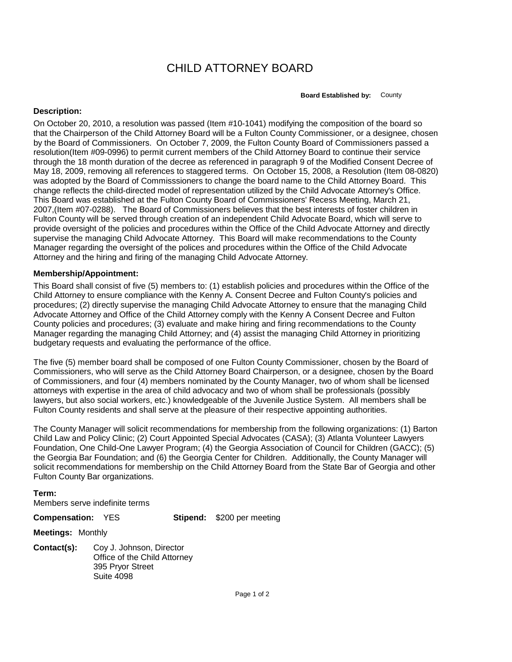## CHILD ATTORNEY BOARD

**Board Established by:** County

## **Description:**

On October 20, 2010, a resolution was passed (Item #10-1041) modifying the composition of the board so that the Chairperson of the Child Attorney Board will be a Fulton County Commissioner, or a designee, chosen by the Board of Commissioners. On October 7, 2009, the Fulton County Board of Commissioners passed a resolution(Item #09-0996) to permit current members of the Child Attorney Board to continue their service through the 18 month duration of the decree as referenced in paragraph 9 of the Modified Consent Decree of May 18, 2009, removing all references to staggered terms. On October 15, 2008, a Resolution (Item 08-0820) was adopted by the Board of Commisssioners to change the board name to the Child Attorney Board. This change reflects the child-directed model of representation utilized by the Child Advocate Attorney's Office. This Board was established at the Fulton County Board of Commissioners' Recess Meeting, March 21, 2007,(Item #07-0288). The Board of Commissioners believes that the best interests of foster children in Fulton County will be served through creation of an independent Child Advocate Board, which will serve to provide oversight of the policies and procedures within the Office of the Child Advocate Attorney and directly supervise the managing Child Advocate Attorney. This Board will make recommendations to the County Manager regarding the oversight of the polices and procedures within the Office of the Child Advocate Attorney and the hiring and firing of the managing Child Advocate Attorney.

## **Membership/Appointment:**

This Board shall consist of five (5) members to: (1) establish policies and procedures within the Office of the Child Attorney to ensure compliance with the Kenny A. Consent Decree and Fulton County's policies and procedures; (2) directly supervise the managing Child Advocate Attorney to ensure that the managing Child Advocate Attorney and Office of the Child Attorney comply with the Kenny A Consent Decree and Fulton County policies and procedures; (3) evaluate and make hiring and firing recommendations to the County Manager regarding the managing Child Attorney; and (4) assist the managing Child Attorney in prioritizing budgetary requests and evaluating the performance of the office.

The five (5) member board shall be composed of one Fulton County Commissioner, chosen by the Board of Commissioners, who will serve as the Child Attorney Board Chairperson, or a designee, chosen by the Board of Commissioners, and four (4) members nominated by the County Manager, two of whom shall be licensed attorneys with expertise in the area of child advocacy and two of whom shall be professionals (possibly lawyers, but also social workers, etc.) knowledgeable of the Juvenile Justice System. All members shall be Fulton County residents and shall serve at the pleasure of their respective appointing authorities.

The County Manager will solicit recommendations for membership from the following organizations: (1) Barton Child Law and Policy Clinic; (2) Court Appointed Special Advocates (CASA); (3) Atlanta Volunteer Lawyers Foundation, One Child-One Lawyer Program; (4) the Georgia Association of Council for Children (GACC); (5) the Georgia Bar Foundation; and (6) the Georgia Center for Children. Additionally, the County Manager will solicit recommendations for membership on the Child Attorney Board from the State Bar of Georgia and other Fulton County Bar organizations.

## **Term:**

Members serve indefinite terms

**Compensation:** YES

**Stipend:** \$200 per meeting

**Meetings:** Monthly

**Contact(s):** Coy J. Johnson, Director Office of the Child Attorney 395 Pryor Street Suite 4098